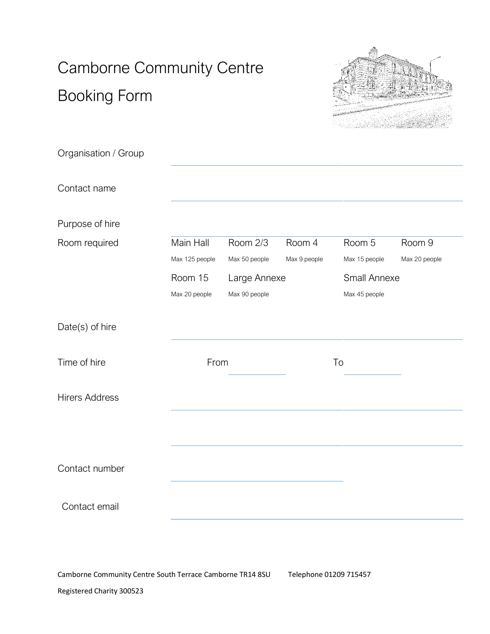# Camborne Community Centre Booking Form



| Organisation / Group  |                         |               |              |               |               |
|-----------------------|-------------------------|---------------|--------------|---------------|---------------|
| Contact name          |                         |               |              |               |               |
| Purpose of hire       |                         |               |              |               |               |
| Room required         | Main Hall               | Room 2/3      | Room 4       | Room 5        | Room 9        |
|                       | Max 125 people          | Max 50 people | Max 9 people | Max 15 people | Max 20 people |
|                       | Room 15<br>Large Annexe |               |              | Small Annexe  |               |
|                       | Max 20 people           | Max 90 people |              | Max 45 people |               |
| Date(s) of hire       |                         |               |              |               |               |
| Time of hire          | From                    |               |              | To            |               |
| <b>Hirers Address</b> |                         |               |              |               |               |
|                       |                         |               |              |               |               |
| Contact number        |                         |               |              |               |               |
| Contact email         |                         |               |              |               |               |

Camborne Community Centre South Terrace Camborne TR14 8SU Telephone 01209 715457 Registered Charity 300523